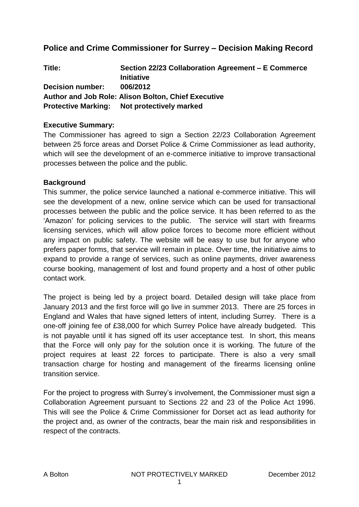## **Police and Crime Commissioner for Surrey – Decision Making Record**

| Title:                  | Section 22/23 Collaboration Agreement – E Commerce         |
|-------------------------|------------------------------------------------------------|
|                         | <b>Initiative</b>                                          |
| <b>Decision number:</b> | 006/2012                                                   |
|                         | <b>Author and Job Role: Alison Bolton, Chief Executive</b> |
|                         | <b>Protective Marking:</b> Not protectively marked         |

## **Executive Summary:**

The Commissioner has agreed to sign a Section 22/23 Collaboration Agreement between 25 force areas and Dorset Police & Crime Commissioner as lead authority, which will see the development of an e-commerce initiative to improve transactional processes between the police and the public.

#### **Background**

This summer, the police service launched a national e-commerce initiative. This will see the development of a new, online service which can be used for transactional processes between the public and the police service. It has been referred to as the 'Amazon' for policing services to the public. The service will start with firearms licensing services, which will allow police forces to become more efficient without any impact on public safety. The website will be easy to use but for anyone who prefers paper forms, that service will remain in place. Over time, the initiative aims to expand to provide a range of services, such as online payments, driver awareness course booking, management of lost and found property and a host of other public contact work.

The project is being led by a project board. Detailed design will take place from January 2013 and the first force will go live in summer 2013. There are 25 forces in England and Wales that have signed letters of intent, including Surrey. There is a one-off joining fee of £38,000 for which Surrey Police have already budgeted. This is not payable until it has signed off its user acceptance test. In short, this means that the Force will only pay for the solution once it is working. The future of the project requires at least 22 forces to participate. There is also a very small transaction charge for hosting and management of the firearms licensing online transition service.

For the project to progress with Surrey's involvement, the Commissioner must sign a Collaboration Agreement pursuant to Sections 22 and 23 of the Police Act 1996. This will see the Police & Crime Commissioner for Dorset act as lead authority for the project and, as owner of the contracts, bear the main risk and responsibilities in respect of the contracts.